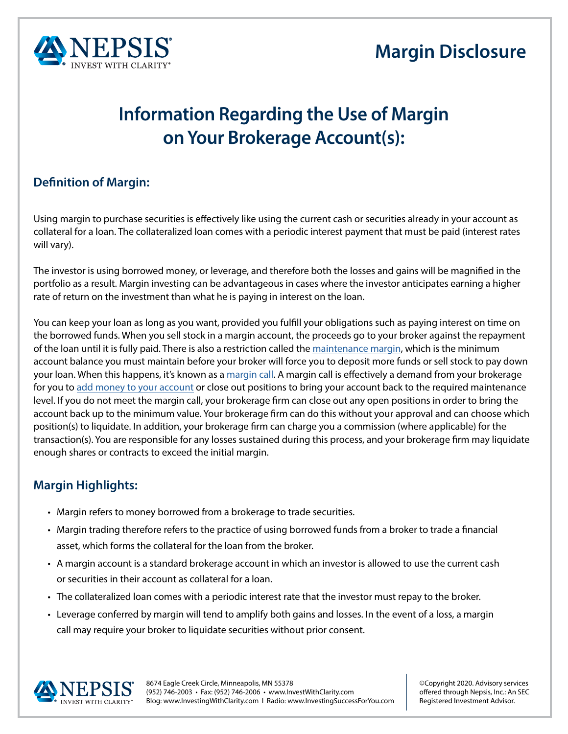



## **Information Regarding the Use of Margin on Your Brokerage Account(s):**

## **Definition of Margin:**

Using margin to purchase securities is effectively like using the current cash or securities already in your account as collateral for a loan. The collateralized loan comes with a periodic interest payment that must be paid (interest rates will vary).

The investor is using borrowed money, or leverage, and therefore both the losses and gains will be magnified in the portfolio as a result. Margin investing can be advantageous in cases where the investor anticipates earning a higher rate of return on the investment than what he is paying in interest on the loan.

You can keep your loan as long as you want, provided you fulfill your obligations such as paying interest on time on the borrowed funds. When you sell stock in a margin account, the proceeds go to your broker against the repayment of the loan until it is fully paid. There is also a restriction called the [maintenance margin](https://www.investopedia.com/terms/m/maintenancemargin.asp), which is the minimum account balance you must maintain before your broker will force you to deposit more funds or sell stock to pay down your loan. When this happens, it's known as a [margin call.](https://www.investopedia.com/terms/m/margincall.asp) A margin call is effectively a demand from your brokerage for you to [add money to your account](https://www.investopedia.com/terms/m/margincall.asp) or close out positions to bring your account back to the required maintenance level. If you do not meet the margin call, your brokerage firm can close out any open positions in order to bring the account back up to the minimum value. Your brokerage firm can do this without your approval and can choose which position(s) to liquidate. In addition, your brokerage firm can charge you a commission (where applicable) for the transaction(s). You are responsible for any losses sustained during this process, and your brokerage firm may liquidate enough shares or contracts to exceed the initial margin.

## **Margin Highlights:**

- Margin refers to money borrowed from a brokerage to trade securities.
- Margin trading therefore refers to the practice of using borrowed funds from a broker to trade a financial asset, which forms the collateral for the loan from the broker.
- A margin account is a standard brokerage account in which an investor is allowed to use the current cash or securities in their account as collateral for a loan.
- The collateralized loan comes with a periodic interest rate that the investor must repay to the broker.
- Leverage conferred by margin will tend to amplify both gains and losses. In the event of a loss, a margin call may require your broker to liquidate securities without prior consent.



8674 Eagle Creek Circle, Minneapolis, MN 55378 (952) 746-2003 • Fax: (952) 746-2006 • www.InvestWithClarity.com Blog: www.InvestingWithClarity.com I Radio: www.InvestingSuccessForYou.com

©Copyright 2020. Advisory services offered through Nepsis, Inc.: An SEC Registered Investment Advisor.